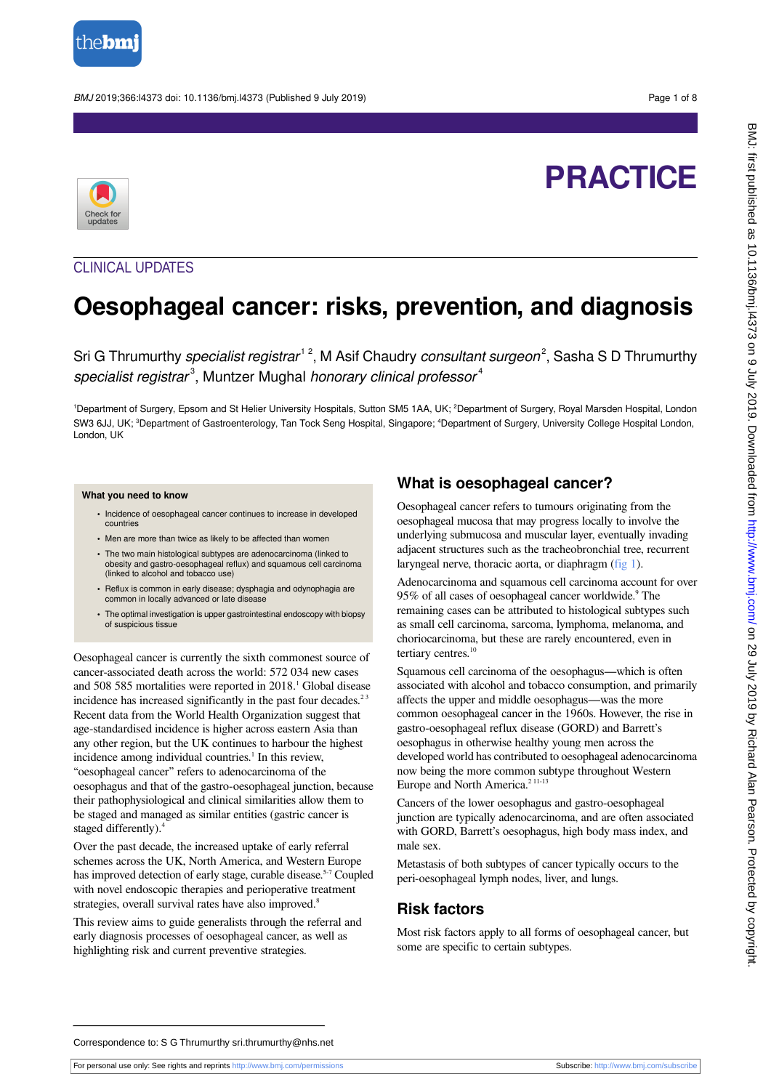

BMJ 2019;366:l4373 doi: 10.1136/bmj.l4373 (Published 9 July 2019) Page 1 of 8

# **PRACTICE**



## CLINICAL UPDATES

## **Oesophageal cancer: risks, prevention, and diagnosis**

Sri G Thrumurthy specialist registrar<sup>12</sup>, M Asif Chaudry consultant surgeon<sup>2</sup>, Sasha S D Thrumurthy specialist registrar $3$ , Muntzer Mughal honorary clinical professor $4$ 

<sup>1</sup>Department of Surgery, Epsom and St Helier University Hospitals, Sutton SM5 1AA, UK; <sup>2</sup>Department of Surgery, Royal Marsden Hospital, London SW3 6JJ, UK; <sup>3</sup>Department of Gastroenterology, Tan Tock Seng Hospital, Singapore; <sup>4</sup>Department of Surgery, University College Hospital London, London, UK

#### **What you need to know**

- Incidence of oesophageal cancer continues to increase in developed countries
- **•** Men are more than twice as likely to be affected than women
- **•** The two main histological subtypes are adenocarcinoma (linked to obesity and gastro-oesophageal reflux) and squamous cell carcinoma (linked to alcohol and tobacco use)
- **•** Reflux is common in early disease; dysphagia and odynophagia are common in locally advanced or late disease
- **•** The optimal investigation is upper gastrointestinal endoscopy with biopsy of suspicious tissue

Oesophageal cancer is currently the sixth commonest source of cancer-associated death across the world: 572 034 new cases and 508 585 mortalities were reported in 2018.<sup>1</sup> Global disease incidence has increased significantly in the past four decades. $2<sup>3</sup>$ Recent data from the World Health Organization suggest that age-standardised incidence is higher across eastern Asia than any other region, but the UK continues to harbour the highest incidence among individual countries.<sup>1</sup> In this review, "oesophageal cancer" refers to adenocarcinoma of the oesophagus and that of the gastro-oesophageal junction, because their pathophysiological and clinical similarities allow them to be staged and managed as similar entities (gastric cancer is staged differently).<sup>4</sup>

Over the past decade, the increased uptake of early referral schemes across the UK, North America, and Western Europe has improved detection of early stage, curable disease.<sup>5-7</sup> Coupled with novel endoscopic therapies and perioperative treatment strategies, overall survival rates have also improved.<sup>8</sup>

This review aims to guide generalists through the referral and early diagnosis processes of oesophageal cancer, as well as highlighting risk and current preventive strategies.

## **What is oesophageal cancer?**

Oesophageal cancer refers to tumours originating from the oesophageal mucosa that may progress locally to involve the underlying submucosa and muscular layer, eventually invading adjacent structures such as the tracheobronchial tree, recurrent laryngeal nerve, thoracic aorta, or diaphragm ([fig 1\)](#page-6-0).

Adenocarcinoma and squamous cell carcinoma account for over 95% of all cases of oesophageal cancer worldwide.<sup>9</sup> The remaining cases can be attributed to histological subtypes such as small cell carcinoma, sarcoma, lymphoma, melanoma, and choriocarcinoma, but these are rarely encountered, even in tertiary centres.<sup>10</sup>

Squamous cell carcinoma of the oesophagus—which is often associated with alcohol and tobacco consumption, and primarily affects the upper and middle oesophagus—was the more common oesophageal cancer in the 1960s. However, the rise in gastro-oesophageal reflux disease (GORD) and Barrett's oesophagus in otherwise healthy young men across the developed world has contributed to oesophageal adenocarcinoma now being the more common subtype throughout Western Europe and North America.<sup>211-13</sup>

Cancers of the lower oesophagus and gastro-oesophageal junction are typically adenocarcinoma, and are often associated with GORD, Barrett's oesophagus, high body mass index, and male sex.

Metastasis of both subtypes of cancer typically occurs to the peri-oesophageal lymph nodes, liver, and lungs.

## **Risk factors**

Most risk factors apply to all forms of oesophageal cancer, but some are specific to certain subtypes.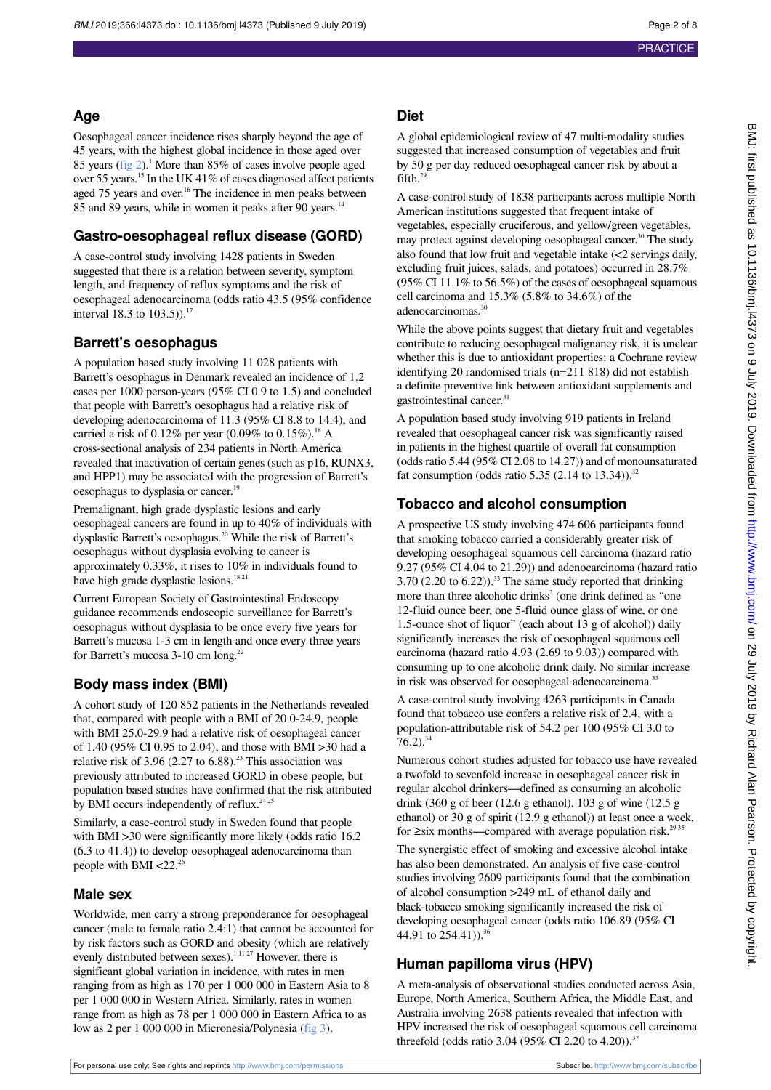#### **Age**

Oesophageal cancer incidence rises sharply beyond the age of 45 years, with the highest global incidence in those aged over 85 years ([fig 2\)](#page-6-1).<sup>1</sup> More than 85% of cases involve people aged over 55 years.<sup>15</sup> In the UK 41% of cases diagnosed affect patients aged 75 years and over.<sup>16</sup> The incidence in men peaks between 85 and 89 years, while in women it peaks after 90 years.<sup>14</sup>

### **Gastro-oesophageal reflux disease (GORD)**

A case-control study involving 1428 patients in Sweden suggested that there is a relation between severity, symptom length, and frequency of reflux symptoms and the risk of oesophageal adenocarcinoma (odds ratio 43.5 (95% confidence interval 18.3 to 103.5)).<sup>17</sup>

#### **Barrett's oesophagus**

A population based study involving 11 028 patients with Barrett's oesophagus in Denmark revealed an incidence of 1.2 cases per 1000 person-years (95% CI 0.9 to 1.5) and concluded that people with Barrett's oesophagus had a relative risk of developing adenocarcinoma of 11.3 (95% CI 8.8 to 14.4), and carried a risk of 0.12% per year (0.09% to 0.15%).<sup>18</sup> A cross-sectional analysis of 234 patients in North America revealed that inactivation of certain genes (such as p16, RUNX3, and HPP1) may be associated with the progression of Barrett's oesophagus to dysplasia or cancer.<sup>19</sup>

Premalignant, high grade dysplastic lesions and early oesophageal cancers are found in up to 40% of individuals with dysplastic Barrett's oesophagus.<sup>20</sup> While the risk of Barrett's oesophagus without dysplasia evolving to cancer is approximately 0.33%, it rises to 10% in individuals found to have high grade dysplastic lesions.<sup>18 21</sup>

Current European Society of Gastrointestinal Endoscopy guidance recommends endoscopic surveillance for Barrett's oesophagus without dysplasia to be once every five years for Barrett's mucosa 1-3 cm in length and once every three years for Barrett's mucosa 3-10 cm long.<sup>22</sup>

## **Body mass index (BMI)**

A cohort study of 120 852 patients in the Netherlands revealed that, compared with people with a BMI of 20.0-24.9, people with BMI 25.0-29.9 had a relative risk of oesophageal cancer of 1.40 (95% CI 0.95 to 2.04), and those with BMI >30 had a relative risk of 3.96 (2.27 to 6.88).<sup>23</sup> This association was previously attributed to increased GORD in obese people, but population based studies have confirmed that the risk attributed by BMI occurs independently of reflux.<sup>24 25</sup>

Similarly, a case-control study in Sweden found that people with BMI >30 were significantly more likely (odds ratio 16.2 (6.3 to 41.4)) to develop oesophageal adenocarcinoma than people with BMI  $<$ 22.<sup>26</sup>

#### **Male sex**

Worldwide, men carry a strong preponderance for oesophageal cancer (male to female ratio 2.4:1) that cannot be accounted for by risk factors such as GORD and obesity (which are relatively evenly distributed between sexes).<sup>11127</sup> However, there is significant global variation in incidence, with rates in men ranging from as high as 170 per 1 000 000 in Eastern Asia to 8 per 1 000 000 in Western Africa. Similarly, rates in women range from as high as 78 per 1 000 000 in Eastern Africa to as low as 2 per 1 000 000 in Micronesia/Polynesia ([fig 3\)](#page-7-0).

#### **Diet**

A global epidemiological review of 47 multi-modality studies suggested that increased consumption of vegetables and fruit by 50 g per day reduced oesophageal cancer risk by about a fifth.<sup>29</sup>

A case-control study of 1838 participants across multiple North American institutions suggested that frequent intake of vegetables, especially cruciferous, and yellow/green vegetables, may protect against developing oesophageal cancer.<sup>30</sup> The study also found that low fruit and vegetable intake (<2 servings daily, excluding fruit juices, salads, and potatoes) occurred in 28.7% (95% CI 11.1% to 56.5%) of the cases of oesophageal squamous cell carcinoma and 15.3% (5.8% to 34.6%) of the adenocarcinomas.<sup>30</sup>

While the above points suggest that dietary fruit and vegetables contribute to reducing oesophageal malignancy risk, it is unclear whether this is due to antioxidant properties: a Cochrane review identifying 20 randomised trials (n=211 818) did not establish a definite preventive link between antioxidant supplements and gastrointestinal cancer.<sup>31</sup>

A population based study involving 919 patients in Ireland revealed that oesophageal cancer risk was significantly raised in patients in the highest quartile of overall fat consumption (odds ratio 5.44 (95% CI 2.08 to 14.27)) and of monounsaturated fat consumption (odds ratio 5.35 (2.14 to 13.34)).<sup>32</sup>

## **Tobacco and alcohol consumption**

A prospective US study involving 474 606 participants found that smoking tobacco carried a considerably greater risk of developing oesophageal squamous cell carcinoma (hazard ratio 9.27 (95% CI 4.04 to 21.29)) and adenocarcinoma (hazard ratio  $3.70$  (2.20 to 6.22)).<sup>33</sup> The same study reported that drinking more than three alcoholic drinks<sup>2</sup> (one drink defined as "one 12-fluid ounce beer, one 5-fluid ounce glass of wine, or one 1.5-ounce shot of liquor" (each about 13 g of alcohol)) daily significantly increases the risk of oesophageal squamous cell carcinoma (hazard ratio 4.93 (2.69 to 9.03)) compared with consuming up to one alcoholic drink daily. No similar increase in risk was observed for oesophageal adenocarcinoma.<sup>33</sup>

A case-control study involving 4263 participants in Canada found that tobacco use confers a relative risk of 2.4, with a population-attributable risk of 54.2 per 100 (95% CI 3.0 to  $76.2$ )<sup>34</sup>

Numerous cohort studies adjusted for tobacco use have revealed a twofold to sevenfold increase in oesophageal cancer risk in regular alcohol drinkers—defined as consuming an alcoholic drink (360 g of beer (12.6 g ethanol), 103 g of wine (12.5 g ethanol) or 30 g of spirit (12.9 g ethanol)) at least once a week, for  $\geq$ six months—compared with average population risk.<sup>29 35</sup>

The synergistic effect of smoking and excessive alcohol intake has also been demonstrated. An analysis of five case-control studies involving 2609 participants found that the combination of alcohol consumption >249 mL of ethanol daily and black-tobacco smoking significantly increased the risk of developing oesophageal cancer (odds ratio 106.89 (95% CI 44.91 to  $254.41$ )).<sup>3</sup>

## **Human papilloma virus (HPV)**

A meta-analysis of observational studies conducted across Asia, Europe, North America, Southern Africa, the Middle East, and Australia involving 2638 patients revealed that infection with HPV increased the risk of oesophageal squamous cell carcinoma threefold (odds ratio 3.04 (95% CI 2.20 to 4.20)).<sup>37</sup>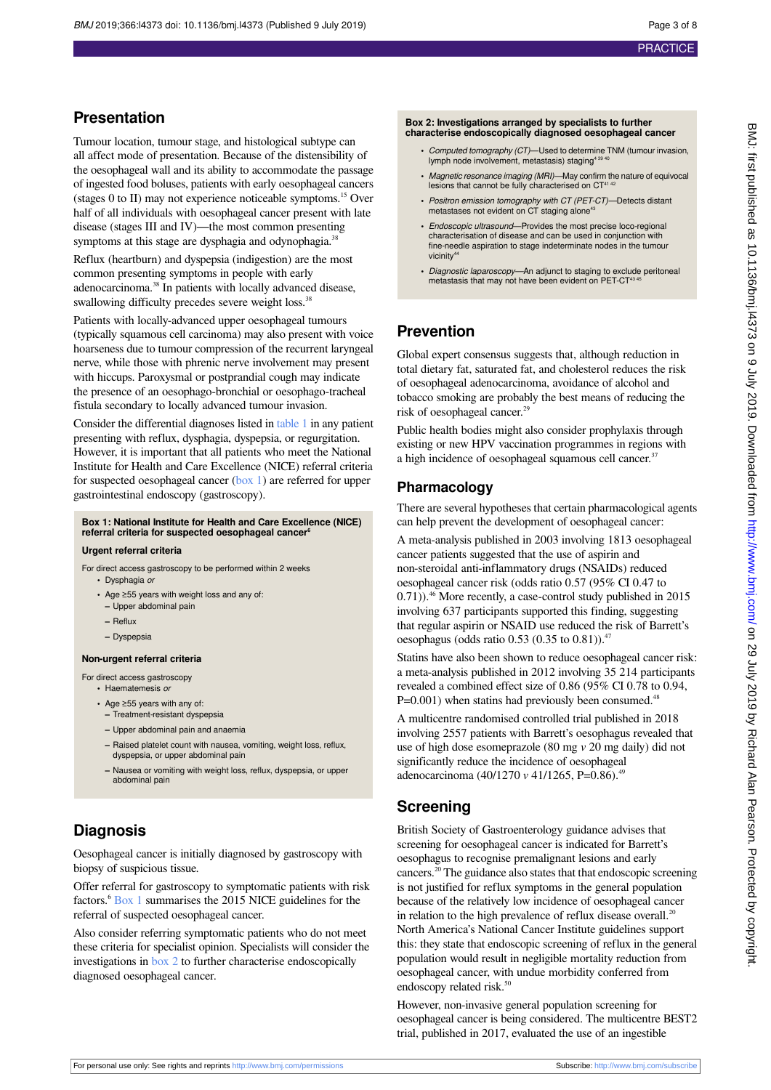## **Presentation**

Tumour location, tumour stage, and histological subtype can all affect mode of presentation. Because of the distensibility of the oesophageal wall and its ability to accommodate the passage of ingested food boluses, patients with early oesophageal cancers (stages 0 to II) may not experience noticeable symptoms.<sup>15</sup> Over half of all individuals with oesophageal cancer present with late disease (stages III and IV)—the most common presenting symptoms at this stage are dysphagia and odynophagia.<sup>38</sup>

Reflux (heartburn) and dyspepsia (indigestion) are the most common presenting symptoms in people with early adenocarcinoma.<sup>38</sup> In patients with locally advanced disease, swallowing difficulty precedes severe weight loss.<sup>38</sup>

Patients with locally-advanced upper oesophageal tumours (typically squamous cell carcinoma) may also present with voice hoarseness due to tumour compression of the recurrent laryngeal nerve, while those with phrenic nerve involvement may present with hiccups. Paroxysmal or postprandial cough may indicate the presence of an oesophago-bronchial or oesophago-tracheal fistula secondary to locally advanced tumour invasion.

<span id="page-2-0"></span>Consider the differential diagnoses listed in [table 1](#page-5-0) in any patient presenting with reflux, dysphagia, dyspepsia, or regurgitation. However, it is important that all patients who meet the National Institute for Health and Care Excellence (NICE) referral criteria for suspected oesophageal cancer [\(box 1\)](#page-2-0) are referred for upper gastrointestinal endoscopy (gastroscopy).

#### **Box 1: National Institute for Health and Care Excellence (NICE) referral criteria for suspected oesophageal cancer<sup>6</sup>**

#### **Urgent referral criteria**

- For direct access gastroscopy to be performed within 2 weeks **•** Dysphagia or
	- **•** Age ≥55 years with weight loss and any of:
	- **–** Upper abdominal pain
	- **–** Reflux
	- **–** Dyspepsia

#### **Non-urgent referral criteria**

For direct access gastroscopy

- **•** Haematemesis or
- **•** Age ≥55 years with any of: **–** Treatment-resistant dyspepsia
- **–** Upper abdominal pain and anaemia
- **–** Raised platelet count with nausea, vomiting, weight loss, reflux, dyspepsia, or upper abdominal pain
- **–** Nausea or vomiting with weight loss, reflux, dyspepsia, or upper abdominal pain

## **Diagnosis**

Oesophageal cancer is initially diagnosed by gastroscopy with biopsy of suspicious tissue.

Offer referral for gastroscopy to symptomatic patients with risk factors.<sup>6</sup> [Box 1](#page-2-0) summarises the 2015 NICE guidelines for the referral of suspected oesophageal cancer.

Also consider referring symptomatic patients who do not meet these criteria for specialist opinion. Specialists will consider the investigations in [box 2](#page-2-1) to further characterise endoscopically diagnosed oesophageal cancer.

#### <span id="page-2-1"></span>**Box 2: Investigations arranged by specialists to further characterise endoscopically diagnosed oesophageal cancer**

- **•** Computed tomography (CT)—Used to determine TNM (tumour invasion, lymph node involvement, metastasis) staging<sup>4</sup>
- **•** Magnetic resonance imaging (MRI)—May confirm the nature of equivocal lesions that cannot be fully characterised on CT<sup>414</sup>
- **•** Positron emission tomography with CT (PET-CT)—Detects distant metastases not evident on CT staging alone<sup>4</sup>
- **•** Endoscopic ultrasound—Provides the most precise loco-regional characterisation of disease and can be used in conjunction with fine-needle aspiration to stage indeterminate nodes in the tumour vicinity<sup>\*</sup>
- **•** Diagnostic laparoscopy—An adjunct to staging to exclude peritoneal metastasis that may not have been evident on PET-CT<sup>43</sup>

## **Prevention**

Global expert consensus suggests that, although reduction in total dietary fat, saturated fat, and cholesterol reduces the risk of oesophageal adenocarcinoma, avoidance of alcohol and tobacco smoking are probably the best means of reducing the risk of oesophageal cancer.<sup>29</sup>

Public health bodies might also consider prophylaxis through existing or new HPV vaccination programmes in regions with a high incidence of oesophageal squamous cell cancer.<sup>37</sup>

## **Pharmacology**

There are several hypotheses that certain pharmacological agents can help prevent the development of oesophageal cancer:

A meta-analysis published in 2003 involving 1813 oesophageal cancer patients suggested that the use of aspirin and non-steroidal anti-inflammatory drugs (NSAIDs) reduced oesophageal cancer risk (odds ratio 0.57 (95% CI 0.47 to 0.71)).<sup>46</sup> More recently, a case-control study published in 2015 involving 637 participants supported this finding, suggesting that regular aspirin or NSAID use reduced the risk of Barrett's oesophagus (odds ratio 0.53 (0.35 to 0.81)).<sup>47</sup>

Statins have also been shown to reduce oesophageal cancer risk: a meta-analysis published in 2012 involving 35 214 participants revealed a combined effect size of 0.86 (95% CI 0.78 to 0.94,  $P=0.001$ ) when statins had previously been consumed.<sup>48</sup>

A multicentre randomised controlled trial published in 2018 involving 2557 patients with Barrett's oesophagus revealed that use of high dose esomeprazole (80 mg *v* 20 mg daily) did not significantly reduce the incidence of oesophageal adenocarcinoma (40/1270 *v* 41/1265, P=0.86).<sup>49</sup>

## **Screening**

British Society of Gastroenterology guidance advises that screening for oesophageal cancer is indicated for Barrett's oesophagus to recognise premalignant lesions and early cancers.<sup>20</sup> The guidance also states that that endoscopic screening is not justified for reflux symptoms in the general population because of the relatively low incidence of oesophageal cancer in relation to the high prevalence of reflux disease overall. $^{20}$ North America's National Cancer Institute guidelines support this: they state that endoscopic screening of reflux in the general population would result in negligible mortality reduction from oesophageal cancer, with undue morbidity conferred from endoscopy related risk.<sup>50</sup>

However, non-invasive general population screening for oesophageal cancer is being considered. The multicentre BEST2 trial, published in 2017, evaluated the use of an ingestible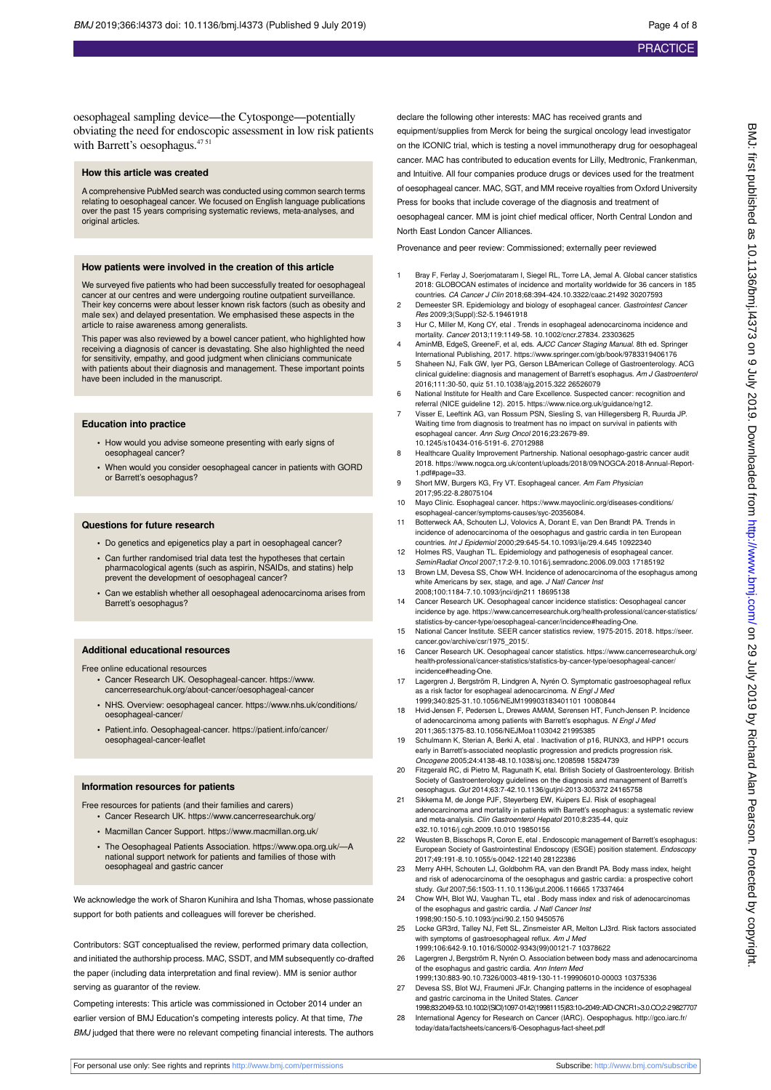oesophageal sampling device—the Cytosponge—potentially obviating the need for endoscopic assessment in low risk patients with Barrett's oesophagus.<sup>47 51</sup>

#### **How this article was created**

A comprehensive PubMed search was conducted using common search terms relating to oesophageal cancer. We focused on English language publications over the past 15 years comprising systematic reviews, meta-analyses, and original articles.

#### **How patients were involved in the creation of this article**

We surveyed five patients who had been successfully treated for oesophageal cancer at our centres and were undergoing routine outpatient surveillance. Their key concerns were about lesser known risk factors (such as obesity and male sex) and delayed presentation. We emphasised these aspects in the article to raise awareness among generalists.

This paper was also reviewed by a bowel cancer patient, who highlighted how receiving a diagnosis of cancer is devastating. She also highlighted the need for sensitivity, empathy, and good judgment when clinicians communicate with patients about their diagnosis and management. These important points have been included in the manuscript.

#### **Education into practice**

- **•** How would you advise someone presenting with early signs of oesophageal cancer?
- **•** When would you consider oesophageal cancer in patients with GORD or Barrett's oesophagus?

#### **Questions for future research**

- **•** Do genetics and epigenetics play a part in oesophageal cancer?
- **•** Can further randomised trial data test the hypotheses that certain pharmacological agents (such as aspirin, NSAIDs, and statins) help prevent the development of oesophageal cancer?
- **•** Can we establish whether all oesophageal adenocarcinoma arises from Barrett's oesophagus?

#### **Additional educational resources**

Free online educational resources

- **•** Cancer Research UK. Oesophageal-cancer. https://www. cancerresearchuk.org/about-cancer/oesophageal-cancer
- **•** NHS. Overview: oesophageal cancer. https://www.nhs.uk/conditions/ oesophageal-cancer/
- **•** Patient.info. Oesophageal-cancer. https://patient.info/cancer/ oesophageal-cancer-leaflet

#### **Information resources for patients**

- Free resources for patients (and their families and carers) **•** Cancer Research UK. https://www.cancerresearchuk.org/
	- **•** Macmillan Cancer Support. https://www.macmillan.org.uk/
	- **•** The Oesophageal Patients Association. https://www.opa.org.uk/—A national support network for patients and families of those with oesophageal and gastric cancer

We acknowledge the work of Sharon Kunihira and Isha Thomas, whose passionate support for both patients and colleagues will forever be cherished.

Contributors: SGT conceptualised the review, performed primary data collection, and initiated the authorship process. MAC, SSDT, and MM subsequently co-drafted the paper (including data interpretation and final review). MM is senior author serving as guarantor of the review.

Competing interests: This article was commissioned in October 2014 under an earlier version of BMJ Education's competing interests policy. At that time, The BMJ judged that there were no relevant competing financial interests. The authors declare the following other interests: MAC has received grants and equipment/supplies from Merck for being the surgical oncology lead investigator on the ICONIC trial, which is testing a novel immunotherapy drug for oesophageal cancer. MAC has contributed to education events for Lilly, Medtronic, Frankenman, and Intuitive. All four companies produce drugs or devices used for the treatment of oesophageal cancer. MAC, SGT, and MM receive royalties from Oxford University Press for books that include coverage of the diagnosis and treatment of

oesophageal cancer. MM is joint chief medical officer, North Central London and North East London Cancer Alliances.

Provenance and peer review: Commissioned; externally peer reviewed

- 1 Bray F, Ferlay J, Soerjomataram I, Siegel RL, Torre LA, Jemal A. Global cancer statistics 2018: GLOBOCAN estimates of incidence and mortality worldwide for 36 cancers in 185 countries. CA Cancer J Clin 2018;68:394-424.10.3322/caac.21492 30207593
- 2 Demeester SR. Epidemiology and biology of esophageal cancer. Gastrointest Ca Res 2009;3(Suppl):S2-5.19461918
- 3 Hur C, Miller M, Kong CY, etal . Trends in esophageal adenocarcinoma incidence and mortality. Cancer 2013;119:1149-58. 10.1002/cncr.27834. 23303625
- 4 AminMB, EdgeS, GreeneF, et al, eds. AJCC Cancer Staging Manual. 8th ed. Springer International Publishing, 2017. https://www.springer.com/gb/book/9783319406176 5 Shaheen NJ, Falk GW, Iyer PG, Gerson LBAmerican College of Gastroenterology. ACG
- clinical guideline: diagnosis and management of Barrett's esophagus. Am J Gastroenterol 2016;111:30-50, quiz 51.10.1038/ajg.2015.322 26526079
- 6 National Institute for Health and Care Excellence. Suspected cancer: recognition and referral (NICE guideline 12). 2015. https://www.nice.org.uk/guidance/ng12.
- 7 Visser E, Leeftink AG, van Rossum PSN, Siesling S, van Hillegersberg R, Ruurda JP. Waiting time from diagnosis to treatment has no impact on survival in patients with<br>esophageal cancer. Ann Surg Oncol 2016;23:2679-89. 10.1245/s10434-016-5191-6. 27012988
- 8 Healthcare Quality Improvement Partnership. National oesophago-gastric cancer audit 2018. https://www.nogca.org.uk/content/uploads/2018/09/NOGCA-2018-Annual-Report-1.pdf#page=33.
- 9 Short MW, Burgers KG, Fry VT. Esophageal cancer. Am Fam Physician 2017;95:22-8.28075104
- 10 Mayo Clinic. Esophageal cancer. https://www.mayoclinic.org/diseases-conditions/ esophageal-cancer/symptoms-causes/syc-20356084.
- 11 Botterweck AA, Schouten LJ, Volovics A, Dorant E, van Den Brandt PA. Trends in incidence of adenocarcinoma of the oesophagus and gastric cardia in ten European countries. Int J Epidemiol 2000;29:645-54.10.1093/ije/29.4.645 10922340
- 12 Holmes RS, Vaughan TL. Epidemiology and pathogenesis of esophageal cancer. SeminRadiat Oncol 2007;17:2-9.10.1016/j.semradonc.2006.09.003 17185192
- 13 Brown LM, Devesa SS, Chow WH. Incidence of adenocarcinoma of the esophagus among white Americans by sex, stage, and age. J Natl Cancer Inst 2008;100:1184-7.10.1093/jnci/djn211 18695138
- 14 Cancer Research UK. Oesophageal cancer incidence statistics: Oesophageal cancer incidence by age. https://www.cancerresearchuk.org/health-professional/cancer-statistics/ statistics-by-cancer-type/oesophageal-cancer/incidence#heading-One.
- 15 National Cancer Institute. SEER cancer statistics review, 1975-2015. 2018. https://seer. cancer.gov/archive/csr/1975\_2015/.
- 16 Cancer Research UK. Oesophageal cancer statistics. https://www.cancerresearchuk.org/ health-professional/cancer-statistics/statistics-by-cancer-type/oesophageal-cancer/ incidence#heading-One.
- 17 Lagergren J, Bergström R, Lindgren A, Nyrén O. Symptomatic gastroesophageal reflux as a risk factor for esophageal adenocarcinoma. N Engl J Med 1999;340:825-31.10.1056/NEJM199903183401101 10080844
- 18 Hvid-Jensen F, Pedersen L, Drewes AMAM, Sørensen HT, Funch-Jensen P. Incidence of adenocarcinoma among patients with Barrett's esophagus. N Engl J Med 2011;365:1375-83.10.1056/NEJMoa1103042 21995385
- 19 Schulmann K, Sterian A, Berki A, etal . Inactivation of p16, RUNX3, and HPP1 occurs early in Barrett's-associated neoplastic progression and predicts progression risk. Oncogene 2005;24:4138-48.10.1038/sj.onc.1208598 15824739
- 20 Fitzgerald RC, di Pietro M, Ragunath K, etal. British Society of Gastroenterology. British Society of Gastroenterology guidelines on the diagnosis and management of Barrett's oesophagus. Gut 2014;63:7-42.10.1136/gutjnl-2013-305372 24165758
- 21 Sikkema M, de Jonge PJF, Steyerberg EW, Kuipers EJ. Risk of esophageal adenocarcinoma and mortality in patients with Barrett's esophagus: a systematic review and meta-analysis. Clin Gastroenterol Hepatol 2010;8:235-44, quiz e32.10.1016/j.cgh.2009.10.010 19850156
- 22 Weusten B, Bisschops R, Coron E, etal . Endoscopic management of Barrett's esophagus: European Society of Gastrointestinal Endoscopy (ESGE) position statement. Endoscopy 2017;49:191-8.10.1055/s-0042-122140 28122386
- 23 Merry AHH, Schouten LJ, Goldbohm RA, van den Brandt PA. Body mass index, height and risk of adenocarcinoma of the oesophagus and gastric cardia: a prospective cohort study. Gut 2007;56:1503-11.10.1136/gut.2006.116665 17337464
- 24 Chow WH, Blot WJ, Vaughan TL, etal . Body mass index and risk of adenocarcinomas of the esophagus and gastric cardia. J Natl Cancer Inst 1998;90:150-5.10.1093/jnci/90.2.150 9450576
- 25 Locke GR3rd, Talley NJ, Fett SL, Zinsmeister AR, Melton LJ3rd. Risk factors associated with symptoms of gastroesophageal reflux. Am J Med 1999;106:642-9.10.1016/S0002-9343(99)00121-7 10378622
- 26 Lagergren J, Bergström R, Nyrén O. Association between body mass and adenocarcinoma of the esophagus and gastric cardia. Ann Intern Med
- 1999;130:883-90.10.7326/0003-4819-130-11-199906010-00003 10375336 27 Devesa SS, Blot WJ, Fraumeni JFJr. Changing patterns in the incidence of esophageal and gastric carcinoma in the United States. Cancer
- 1998;83:2049-53.10.1002/(SICI)1097-0142(19981115)83:10<2049::AID-CNCR1>3.0.CO;2-2 9827707 28 International Agency for Research on Cancer (IARC). Oespophagus. [http://gco.iarc.fr/](http://gco.iarc.fr/today/data/factsheets/cancers/6-Oesophagus-fact-sheet.pdf)
- [today/data/factsheets/cancers/6-Oesophagus-fact-sheet.pdf](http://gco.iarc.fr/today/data/factsheets/cancers/6-Oesophagus-fact-sheet.pdf)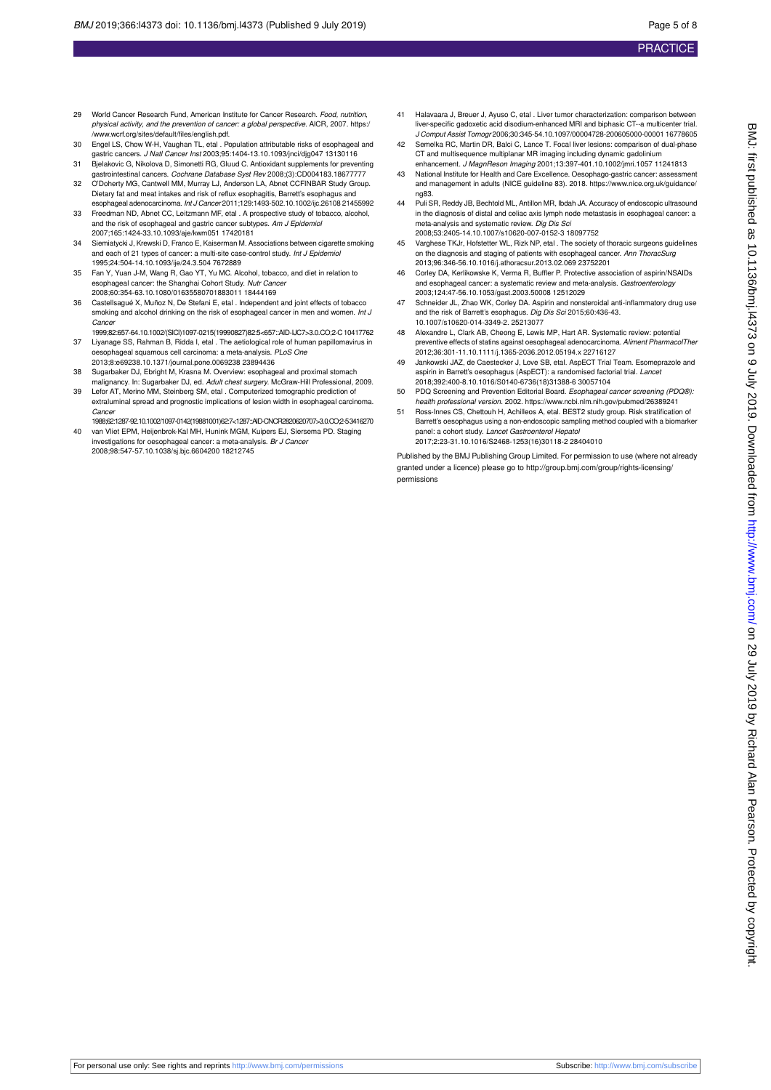- 29 World Cancer Research Fund, American Institute for Cancer Research, Food, nutrition, physical activity, and the prevention of cancer: a global perspective. AICR, 2007. https:/ /www.wcrf.org/sites/default/files/english.pdf.
- 30 Engel LS, Chow W-H, Vaughan TL, etal . Population attributable risks of esophageal and gastric cancers. J Natl Cancer Inst 2003;95:1404-13.10.1093/jnci/djg047 13130116
- 31 Bjelakovic G, Nikolova D, Simonetti RG, Gluud C. Antioxidant supplements for preventing gastrointestinal cancers. Cochrane Database Syst Rev 2008;(3):CD004183.18677777
- 32 O'Doherty MG, Cantwell MM, Murray LJ, Anderson LA, Abnet CCFINBAR Study Group. Dietary fat and meat intakes and risk of reflux esophagitis, Barrett's esophagus and esophageal adenocarcinoma. Int J Cancer 2011;129:1493-502.10.1002/ijc.26108 21455992
- 33 Freedman ND, Abnet CC, Leitzmann MF, etal . A prospective study of tobacco, alcohol, and the risk of esophageal and gastric cancer subtypes. Am J Epidemiol 2007;165:1424-33.10.1093/aje/kwm051 17420181
- 34 Siemiatycki J, Krewski D, Franco E, Kaiserman M. Associations between cigarette smoking and each of 21 types of cancer: a multi-site case-control study. Int J Epidemiol 1995;24:504-14.10.1093/ije/24.3.504 7672889
- 35 Fan Y, Yuan J-M, Wang R, Gao YT, Yu MC. Alcohol, tobacco, and diet in relation to esophageal cancer: the Shanghai Cohort Study. Nutr Cancer 2008;60:354-63.10.1080/01635580701883011 18444169
- 36 Castellsagué X, Muñoz N, De Stefani E, etal . Independent and joint effects of tobacco smoking and alcohol drinking on the risk of esophageal cancer in men and women. Int J Cancer
- 1999;82:657-64.10.1002/(SICI)1097-0215(19990827)82:5<657::AID-IJC7>3.0.CO;2-C 10417762 37 Liyanage SS, Rahman B, Ridda I, etal . The aetiological role of human papillomavirus in oesophageal squamous cell carcinoma: a meta-analysis. PLoS One
- 2013;8:e69238.10.1371/journal.pone.0069238 23894436 38 Sugarbaker DJ, Ebright M, Krasna M. Overview: esophageal and proximal stomach malignancy. In: Sugarbaker DJ, ed. Adult chest surgery. McGraw-Hill Professional, 2009.
- 39 Lefor AT, Merino MM, Steinberg SM, etal . Computerized tomographic prediction of extraluminal spread and prognostic implications of lesion width in esophageal carcinoma. Cancer
- 1988;62:1287-92.10.1002/1097-0142(19881001)62:7<1287::AID-CNCR2820620707>3.0.CO;2-5 3416270 40 van Vliet EPM, Heijenbrok-Kal MH, Hunink MGM, Kuipers EJ, Siersema PD. Staging investigations for oesophageal cancer: a meta-analysis. Br J Cancer
- 2008;98:547-57.10.1038/sj.bjc.6604200 18212745
- 41 Halavaara J, Breuer J, Ayuso C, etal . Liver tumor characterization: comparison between liver-specific gadoxetic acid disodium-enhanced MRI and biphasic CT--a multicenter trial. J Comput Assist Tomogr 2006;30:345-54.10.1097/00004728-200605000-00001 16778605
- 42 Semelka RC, Martin DR, Balci C, Lance T. Focal liver lesions: comparison of dual-phase CT and multisequence multiplanar MR imaging including dynamic gadolinium enhancement. J MagnReson Imaging 2001;13:397-401.10.1002/jmri.1057 11241813
- 43 National Institute for Health and Care Excellence. Oesophago-gastric cancer: assessment and management in adults (NICE guideline 83). 2018. https://www.nice.org.uk/guidance/ ng83.
- 44 Puli SR, Reddy JB, Bechtold ML, Antillon MR, Ibdah JA. Accuracy of endoscopic ultrasound in the diagnosis of distal and celiac axis lymph node metastasis in esophageal cancer: a meta-analysis and systematic review. Dig Dis Sci 2008;53:2405-14.10.1007/s10620-007-0152-3 18097752
- Varghese TKJr, Hofstetter WL, Rizk NP, etal . The society of thoracic surgeons guidelines on the diagnosis and staging of patients with esophageal cancer. Ann ThoracSurg 2013;96:346-56.10.1016/j.athoracsur.2013.02.069 23752201
- 46 Corley DA, Kerlikowske K, Verma R, Buffler P. Protective association of aspirin/NSAIDs and esophageal cancer: a systematic review and meta-analysis. Gastroenterology 2003;124:47-56.10.1053/gast.2003.50008 12512029
- 47 Schneider JL, Zhao WK, Corley DA. Aspirin and nonsteroidal anti-inflammatory drug use and the risk of Barrett's esophagus. Dig Dis Sci 2015;60:436-43. 10.1007/s10620-014-3349-2. 25213077
- 48 Alexandre L, Clark AB, Cheong E, Lewis MP, Hart AR. Systematic review: potential preventive effects of statins against oesophageal adenocarcinoma. Aliment PharmacolTher 2012;36:301-11.10.1111/j.1365-2036.2012.05194.x 22716127
- 49 Jankowski JAZ, de Caestecker J, Love SB, etal. AspECT Trial Team. Esomeprazole and aspirin in Barrett's oesophagus (AspECT): a randomised factorial trial. Lancet 2018;392:400-8.10.1016/S0140-6736(18)31388-6 30057104
- 50 PDQ Screening and Prevention Editorial Board. Esophageal cancer screening (PDQ®): health professional version. 2002. https://www.ncbi.nlm.nih.gov/pubmed/26389241
- 51 Ross-Innes CS, Chettouh H, Achilleos A, etal. BEST2 study group. Risk stratification of Barrett's oesophagus using a non-endoscopic sampling method coupled with a biomarker panel: a cohort study. Lancet Gastroenterol Hepatol 2017;2:23-31.10.1016/S2468-1253(16)30118-2 28404010

Published by the BMJ Publishing Group Limited. For permission to use (where not already granted under a licence) please go to [http://group.bmj.com/group/rights-licensing/](http://group.bmj.com/group/rights-licensing/permissions) [permissions](http://group.bmj.com/group/rights-licensing/permissions)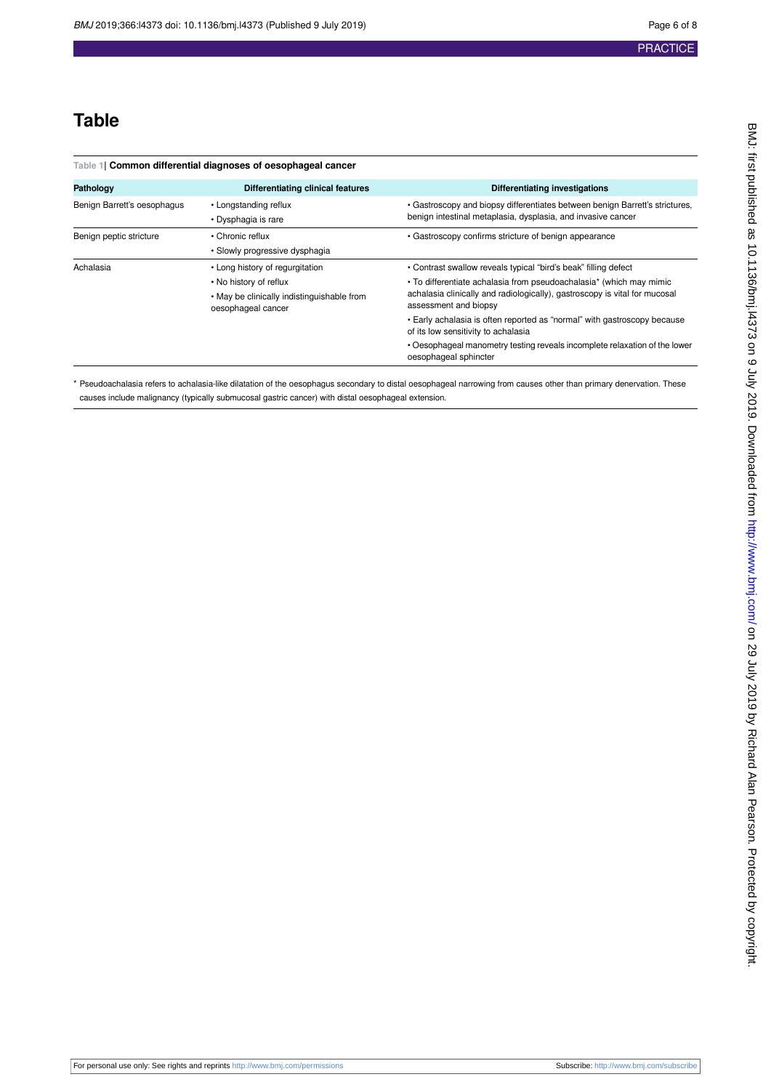## **Table**

<span id="page-5-0"></span>

| Table 1  Common differential diagnoses of oesophageal cancer |                                                                                                                               |                                                                                                                                                                                                                                                                                                                                                                                                                                                                         |
|--------------------------------------------------------------|-------------------------------------------------------------------------------------------------------------------------------|-------------------------------------------------------------------------------------------------------------------------------------------------------------------------------------------------------------------------------------------------------------------------------------------------------------------------------------------------------------------------------------------------------------------------------------------------------------------------|
| Pathology                                                    | Differentiating clinical features                                                                                             | Differentiating investigations                                                                                                                                                                                                                                                                                                                                                                                                                                          |
| Benign Barrett's oesophagus                                  | • Longstanding reflux<br>• Dysphagia is rare                                                                                  | • Gastroscopy and biopsy differentiates between benign Barrett's strictures,<br>benign intestinal metaplasia, dysplasia, and invasive cancer                                                                                                                                                                                                                                                                                                                            |
| Benign peptic stricture                                      | • Chronic reflux<br>• Slowly progressive dysphagia                                                                            | • Gastroscopy confirms stricture of benign appearance                                                                                                                                                                                                                                                                                                                                                                                                                   |
| Achalasia                                                    | • Long history of regurgitation<br>• No history of reflux<br>• May be clinically indistinguishable from<br>oesophageal cancer | • Contrast swallow reveals typical "bird's beak" filling defect<br>• To differentiate achalasia from pseudoachalasia* (which may mimic<br>achalasia clinically and radiologically), gastroscopy is vital for mucosal<br>assessment and biopsy<br>• Early achalasia is often reported as "normal" with gastroscopy because<br>of its low sensitivity to achalasia<br>. Oesophageal manometry testing reveals incomplete relaxation of the lower<br>oesophageal sphincter |

\* Pseudoachalasia refers to achalasia-like dilatation of the oesophagus secondary to distal oesophageal narrowing from causes other than primary denervation. These causes include malignancy (typically submucosal gastric cancer) with distal oesophageal extension.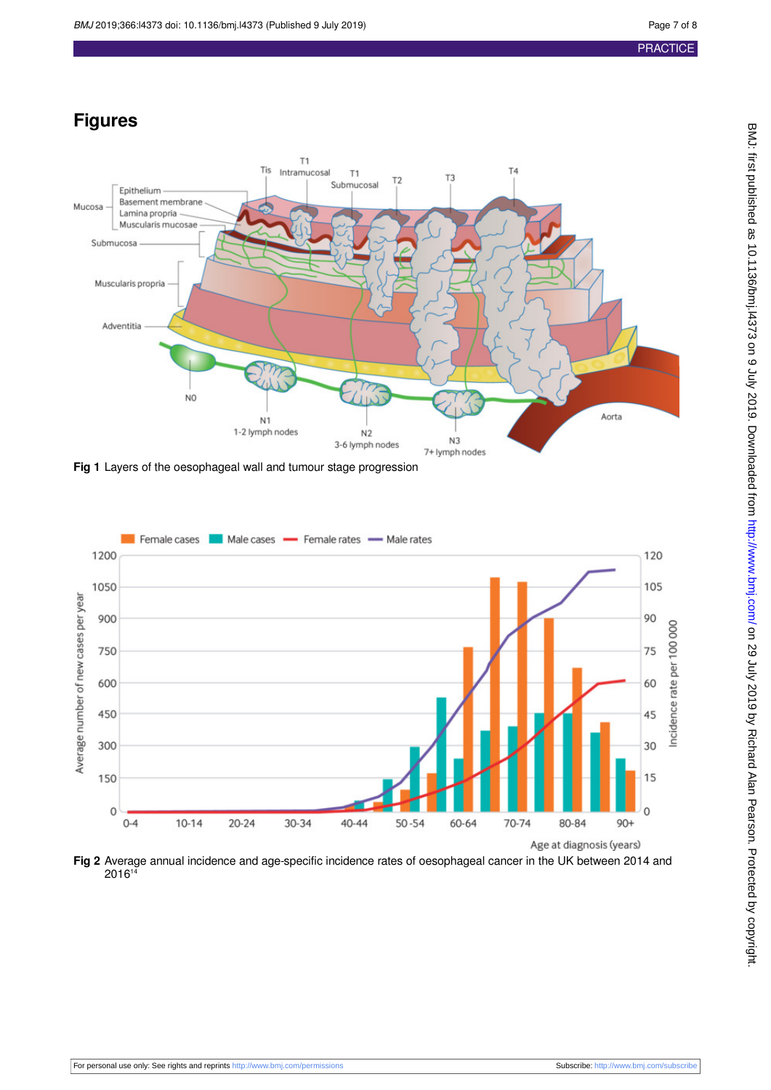## **Figures**

<span id="page-6-0"></span>

<span id="page-6-1"></span>**Fig 1** Layers of the oesophageal wall and tumour stage progression



**Fig 2** Average annual incidence and age-specific incidence rates of oesophageal cancer in the UK between 2014 and 2016<sup>14</sup>